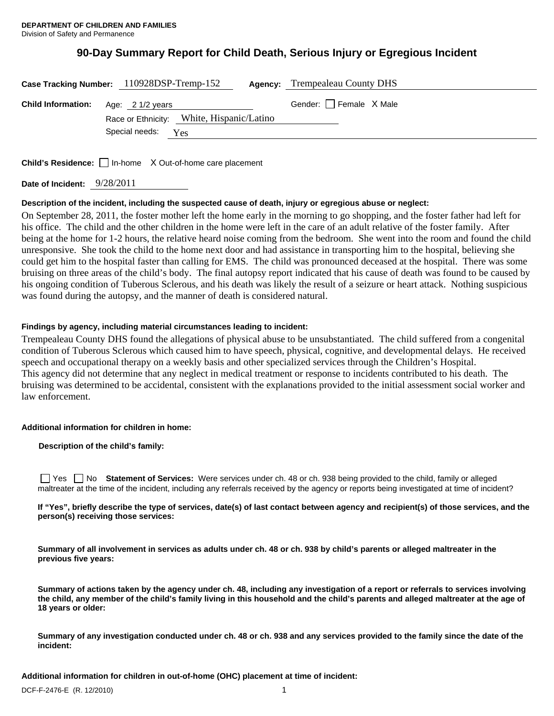# **90-Day Summary Report for Child Death, Serious Injury or Egregious Incident**

| Case Tracking Number: 110928DSP-Tremp-152  |                    |                                           | <b>Agency:</b> Trempealeau County DHS |
|--------------------------------------------|--------------------|-------------------------------------------|---------------------------------------|
| <b>Child Information:</b> Age: 2 1/2 years |                    |                                           | Gender: $\Box$ Female X Male          |
|                                            | Special needs: Yes | Race or Ethnicity: White, Hispanic/Latino |                                       |

Child's Residence: □ In-home X Out-of-home care placement

**Date of Incident:** 9/28/2011

#### **Description of the incident, including the suspected cause of death, injury or egregious abuse or neglect:**

On September 28, 2011, the foster mother left the home early in the morning to go shopping, and the foster father had left for his office. The child and the other children in the home were left in the care of an adult relative of the foster family. After being at the home for 1-2 hours, the relative heard noise coming from the bedroom. She went into the room and found the child unresponsive. She took the child to the home next door and had assistance in transporting him to the hospital, believing she could get him to the hospital faster than calling for EMS. The child was pronounced deceased at the hospital. There was some bruising on three areas of the child's body. The final autopsy report indicated that his cause of death was found to be caused by his ongoing condition of Tuberous Sclerous, and his death was likely the result of a seizure or heart attack. Nothing suspicious was found during the autopsy, and the manner of death is considered natural.

#### **Findings by agency, including material circumstances leading to incident:**

Trempealeau County DHS found the allegations of physical abuse to be unsubstantiated. The child suffered from a congenital condition of Tuberous Sclerous which caused him to have speech, physical, cognitive, and developmental delays. He received speech and occupational therapy on a weekly basis and other specialized services through the Children's Hospital. This agency did not determine that any neglect in medical treatment or response to incidents contributed to his death. The bruising was determined to be accidental, consistent with the explanations provided to the initial assessment social worker and law enforcement.

#### **Additional information for children in home:**

**Description of the child's family:** 

 Yes No **Statement of Services:** Were services under ch. 48 or ch. 938 being provided to the child, family or alleged maltreater at the time of the incident, including any referrals received by the agency or reports being investigated at time of incident?

**If "Yes", briefly describe the type of services, date(s) of last contact between agency and recipient(s) of those services, and the person(s) receiving those services:** 

**Summary of all involvement in services as adults under ch. 48 or ch. 938 by child's parents or alleged maltreater in the previous five years:** 

**Summary of actions taken by the agency under ch. 48, including any investigation of a report or referrals to services involving the child, any member of the child's family living in this household and the child's parents and alleged maltreater at the age of 18 years or older:** 

**Summary of any investigation conducted under ch. 48 or ch. 938 and any services provided to the family since the date of the incident:** 

**Additional information for children in out-of-home (OHC) placement at time of incident:**